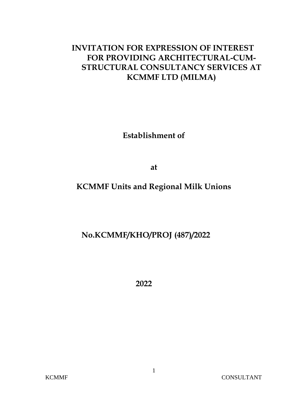# **INVITATION FOR EXPRESSION OF INTEREST FOR PROVIDING ARCHITECTURAL-CUM-STRUCTURAL CONSULTANCY SERVICES AT KCMMF LTD (MILMA)**

**Establishment of** 

**at** 

# **KCMMF Units and Regional Milk Unions**

## **No.KCMMF/KHO/PROJ (487)/2022**

**2022**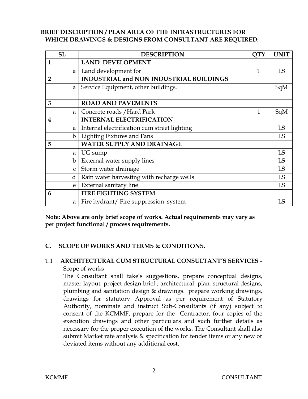#### **BRIEF DESCRIPTION / PLAN AREA OF THE INFRASTRUCTURES FOR WHICH DRAWINGS & DESIGNS FROM CONSULTANT ARE REQUIRED:**

|                | <b>SL</b>    | <b>DESCRIPTION</b>                           | <b>QTY</b> | <b>UNIT</b> |
|----------------|--------------|----------------------------------------------|------------|-------------|
| $\mathbf{1}$   |              | <b>LAND DEVELOPMENT</b>                      |            |             |
|                | a            | Land development for                         | 1          | LS          |
| $\overline{2}$ |              | INDUSTRIAL and NON INDUSTRIAL BUILDINGS      |            |             |
|                | a            | Service Equipment, other buildings.          |            | SqM         |
|                |              |                                              |            |             |
| 3              |              | <b>ROAD AND PAVEMENTS</b>                    |            |             |
|                | a l          | Concrete roads / Hard Park                   | 1          | SqM         |
| 4              |              | <b>INTERNAL ELECTRIFICATION</b>              |            |             |
|                | a            | Internal electrification cum street lighting |            | <b>LS</b>   |
|                | $\mathbf{b}$ | Lighting Fixtures and Fans                   |            | LS          |
| 5              |              | <b>WATER SUPPLY AND DRAINAGE</b>             |            |             |
|                | a l          | UG sump                                      |            | <b>LS</b>   |
|                | b            | External water supply lines                  |            | <b>LS</b>   |
|                | $\mathsf{C}$ | Storm water drainage                         |            | LS          |
|                | $\mathbf d$  | Rain water harvesting with recharge wells    |            | LS          |
|                | e            | <b>External sanitary line</b>                |            | LS          |
| 6              |              | <b>FIRE FIGHTING SYSTEM</b>                  |            |             |
|                | a            | Fire hydrant/ Fire suppression system        |            | LS          |

**Note: Above are only brief scope of works. Actual requirements may vary as per project functional / process requirements.**

## **C. SCOPE OF WORKS AND TERMS & CONDITIONS.**

## 1.1 **ARCHITECTURAL CUM STRUCTURAL CONSULTANT'S SERVICES** - Scope of works

The Consultant shall take's suggestions, prepare conceptual designs, master layout, project design brief , architectural plan, structural designs, plumbing and sanitation design & drawings. prepare working drawings, drawings for statutory Approval as per requirement of Statutory Authority, nominate and instruct Sub-Consultants (if any) subject to consent of the KCMMF, prepare for the Contractor, four copies of the execution drawings and other particulars and such further details as necessary for the proper execution of the works. The Consultant shall also submit Market rate analysis & specification for tender items or any new or deviated items without any additional cost.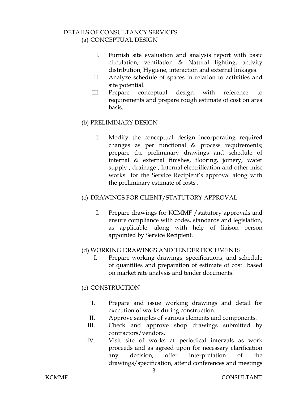#### DETAILS OF CONSULTANCY SERVICES: (a) CONCEPTUAL DESIGN

- I. Furnish site evaluation and analysis report with basic circulation, ventilation & Natural lighting, activity distribution, Hygiene, interaction and external linkages.
- II. Analyze schedule of spaces in relation to activities and site potential.
- III. Prepare conceptual design with reference to requirements and prepare rough estimate of cost on area basis.

## (b) PRELIMINARY DESIGN

I. Modify the conceptual design incorporating required changes as per functional & process requirements; prepare the preliminary drawings and schedule of internal & external finishes, flooring, joinery, water supply , drainage , Internal electrification and other misc works for the Service Recipient's approval along with the preliminary estimate of costs .

#### (c) DRAWINGS FOR CLIENT/STATUTORY APPROVAL

I. Prepare drawings for KCMMF /statutory approvals and ensure compliance with codes, standards and legislation, as applicable, along with help of liaison person appointed by Service Recipient.

## (d) WORKING DRAWINGS AND TENDER DOCUMENTS

I. Prepare working drawings, specifications, and schedule of quantities and preparation of estimate of cost based on market rate analysis and tender documents.

## (e) CONSTRUCTION

- I. Prepare and issue working drawings and detail for execution of works during construction.
- II. Approve samples of various elements and components.
- III. Check and approve shop drawings submitted by contractors/vendors.
- IV. Visit site of works at periodical intervals as work proceeds and as agreed upon for necessary clarification any decision, offer interpretation of the drawings/specification, attend conferences and meetings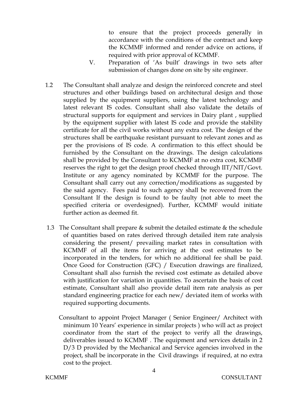to ensure that the project proceeds generally in accordance with the conditions of the contract and keep the KCMMF informed and render advice on actions, if required with prior approval of KCMMF.

- V. Preparation of 'As built' drawings in two sets after submission of changes done on site by site engineer.
- 1.2 The Consultant shall analyze and design the reinforced concrete and steel structures and other buildings based on architectural design and those supplied by the equipment suppliers, using the latest technology and latest relevant IS codes. Consultant shall also validate the details of structural supports for equipment and services in Dairy plant , supplied by the equipment supplier with latest IS code and provide the stability certificate for all the civil works without any extra cost. The design of the structures shall be earthquake resistant pursuant to relevant zones and as per the provisions of IS code. A confirmation to this effect should be furnished by the Consultant on the drawings. The design calculations shall be provided by the Consultant to KCMMF at no extra cost, KCMMF reserves the right to get the design proof checked through IIT/NIT/Govt. Institute or any agency nominated by KCMMF for the purpose. The Consultant shall carry out any correction/modifications as suggested by the said agency. Fees paid to such agency shall be recovered from the Consultant If the design is found to be faulty (not able to meet the specified criteria or overdesigned). Further, KCMMF would initiate further action as deemed fit.
- 1.3 The Consultant shall prepare  $&$  submit the detailed estimate  $&$  the schedule of quantities based on rates derived through detailed item rate analysis considering the present/ prevailing market rates in consultation with KCMMF of all the items for arriving at the cost estimates to be incorporated in the tenders, for which no additional fee shall be paid. Once Good for Construction (GFC) / Execution drawings are finalized, Consultant shall also furnish the revised cost estimate as detailed above with justification for variation in quantities. To ascertain the basis of cost estimate, Consultant shall also provide detail item rate analysis as per standard engineering practice for each new/ deviated item of works with required supporting documents.
	- Consultant to appoint Project Manager ( Senior Engineer/ Architect with minimum 10 Years' experience in similar projects ) who will act as project coordinator from the start of the project to verify all the drawings, deliverables issued to KCMMF . The equipment and services details in 2 D/3 D provided by the Mechanical and Service agencies involved in the project, shall be incorporate in the Civil drawings if required, at no extra cost to the project.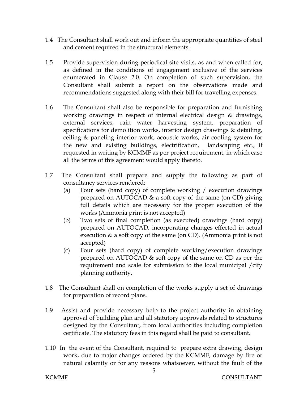- 1.4 The Consultant shall work out and inform the appropriate quantities of steel and cement required in the structural elements.
- 1.5 Provide supervision during periodical site visits, as and when called for, as defined in the conditions of engagement exclusive of the services enumerated in Clause 2.0. On completion of such supervision, the Consultant shall submit a report on the observations made and recommendations suggested along with their bill for travelling expenses.
- 1.6 The Consultant shall also be responsible for preparation and furnishing working drawings in respect of internal electrical design & drawings, external services, rain water harvesting system, preparation of specifications for demolition works, interior design drawings & detailing, ceiling & paneling interior work, acoustic works, air cooling system for the new and existing buildings, electrification, landscaping etc., if requested in writing by KCMMF as per project requirement, in which case all the terms of this agreement would apply thereto.
- 1.7 The Consultant shall prepare and supply the following as part of consultancy services rendered:
	- (a) Four sets (hard copy) of complete working / execution drawings prepared on AUTOCAD & a soft copy of the same (on CD) giving full details which are necessary for the proper execution of the works (Ammonia print is not accepted)
	- (b) Two sets of final completion (as executed) drawings (hard copy) prepared on AUTOCAD, incorporating changes effected in actual execution & a soft copy of the same (on CD). (Ammonia print is not accepted)
	- (c) Four sets (hard copy) of complete working/execution drawings prepared on AUTOCAD & soft copy of the same on CD as per the requirement and scale for submission to the local municipal /city planning authority.
- 1.8 The Consultant shall on completion of the works supply a set of drawings for preparation of record plans.
- 1.9 Assist and provide necessary help to the project authority in obtaining approval of building plan and all statutory approvals related to structures designed by the Consultant, from local authorities including completion certificate. The statutory fees in this regard shall be paid to consultant.
- 1.10 In the event of the Consultant, required to prepare extra drawing, design work, due to major changes ordered by the KCMMF, damage by fire or natural calamity or for any reasons whatsoever, without the fault of the

5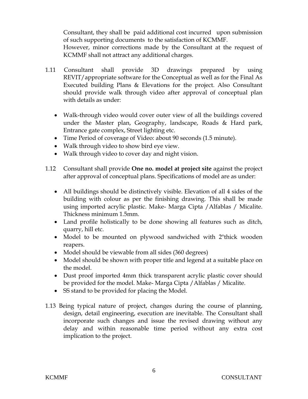Consultant, they shall be paid additional cost incurred upon submission of such supporting documents to the satisfaction of KCMMF.

However, minor corrections made by the Consultant at the request of KCMMF shall not attract any additional charges.

- 1.11 Consultant shall provide 3D drawings prepared by using REVIT/appropriate software for the Conceptual as well as for the Final As Executed building Plans & Elevations for the project. Also Consultant should provide walk through video after approval of conceptual plan with details as under:
	- Walk-through video would cover outer view of all the buildings covered under the Master plan, Geography, landscape, Roads & Hard park, Entrance gate complex, Street lighting etc.
	- Time Period of coverage of Video: about 90 seconds (1.5 minute).
	- Walk through video to show bird eye view.
	- Walk through video to cover day and night vision.
- 1.12 Consultant shall provide **One no. model at project site** against the project after approval of conceptual plans. Specifications of model are as under:
	- All buildings should be distinctively visible. Elevation of all 4 sides of the building with colour as per the finishing drawing. This shall be made using imported acrylic plastic. Make- Marga Cipta /Alfablas / Micalite. Thickness minimum 1.5mm.
	- Land profile holistically to be done showing all features such as ditch, quarry, hill etc.
	- Model to be mounted on plywood sandwiched with 2"thick wooden reapers.
	- Model should be viewable from all sides (360 degrees)
	- Model should be shown with proper title and legend at a suitable place on the model.
	- Dust proof imported 4mm thick transparent acrylic plastic cover should be provided for the model. Make- Marga Cipta /Alfablas / Micalite.
	- SS stand to be provided for placing the Model.
- 1.13 Being typical nature of project, changes during the course of planning, design, detail engineering, execution are inevitable. The Consultant shall incorporate such changes and issue the revised drawing without any delay and within reasonable time period without any extra cost implication to the project.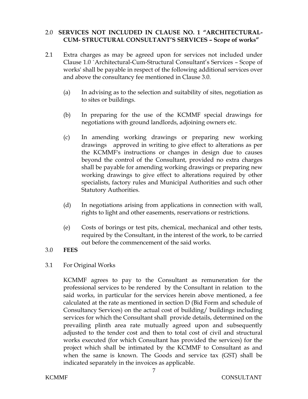## 2.0 **SERVICES NOT INCLUDED IN CLAUSE NO. 1 "ARCHITECTURAL-CUM- STRUCTURAL CONSULTANT'S SERVICES – Scope of works"**

- 2.1 Extra charges as may be agreed upon for services not included under Clause 1.0 `Architectural-Cum-Structural Consultant's Services – Scope of works' shall be payable in respect of the following additional services over and above the consultancy fee mentioned in Clause 3.0.
	- (a) In advising as to the selection and suitability of sites, negotiation as to sites or buildings.
	- (b) In preparing for the use of the KCMMF special drawings for negotiations with ground landlords, adjoining owners etc.
	- (c) In amending working drawings or preparing new working drawings approved in writing to give effect to alterations as per the KCMMF's instructions or changes in design due to causes beyond the control of the Consultant, provided no extra charges shall be payable for amending working drawings or preparing new working drawings to give effect to alterations required by other specialists, factory rules and Municipal Authorities and such other Statutory Authorities.
	- (d) In negotiations arising from applications in connection with wall, rights to light and other easements, reservations or restrictions.
	- (e) Costs of borings or test pits, chemical, mechanical and other tests, required by the Consultant, in the interest of the work, to be carried out before the commencement of the said works.
- 3.0 **FEES**
- 3.1 For Original Works

KCMMF agrees to pay to the Consultant as remuneration for the professional services to be rendered by the Consultant in relation to the said works, in particular for the services herein above mentioned, a fee calculated at the rate as mentioned in section D (Bid Form and schedule of Consultancy Services) on the actual cost of building/ buildings including services for which the Consultant shall provide details, determined on the prevailing plinth area rate mutually agreed upon and subsequently adjusted to the tender cost and then to total cost of civil and structural works executed (for which Consultant has provided the services) for the project which shall be intimated by the KCMMF to Consultant as and when the same is known. The Goods and service tax (GST) shall be indicated separately in the invoices as applicable.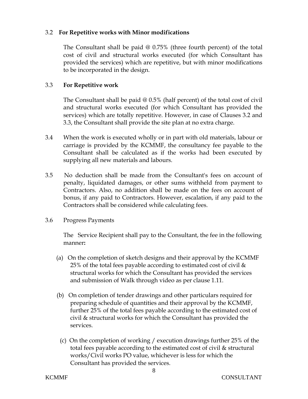## 3.2 **For Repetitive works with Minor modifications**

The Consultant shall be paid  $@0.75\%$  (three fourth percent) of the total cost of civil and structural works executed (for which Consultant has provided the services) which are repetitive, but with minor modifications to be incorporated in the design.

## 3.3 **For Repetitive work**

The Consultant shall be paid @ 0.5% (half percent) of the total cost of civil and structural works executed (for which Consultant has provided the services) which are totally repetitive. However, in case of Clauses 3.2 and 3.3, the Consultant shall provide the site plan at no extra charge.

- 3.4 When the work is executed wholly or in part with old materials, labour or carriage is provided by the KCMMF, the consultancy fee payable to the Consultant shall be calculated as if the works had been executed by supplying all new materials and labours.
- 3.5 No deduction shall be made from the Consultant's fees on account of penalty, liquidated damages, or other sums withheld from payment to Contractors. Also, no addition shall be made on the fees on account of bonus, if any paid to Contractors. However, escalation, if any paid to the Contractors shall be considered while calculating fees.
- 3.6 Progress Payments

The Service Recipient shall pay to the Consultant, the fee in the following manner**:**

- (a) On the completion of sketch designs and their approval by the KCMMF 25% of the total fees payable according to estimated cost of civil  $\&$ structural works for which the Consultant has provided the services and submission of Walk through video as per clause 1.11.
- (b) On completion of tender drawings and other particulars required for preparing schedule of quantities and their approval by the KCMMF, further 25% of the total fees payable according to the estimated cost of civil & structural works for which the Consultant has provided the services.
	- (c) On the completion of working / execution drawings further 25% of the total fees payable according to the estimated cost of civil & structural works/Civil works PO value, whichever is less for which the Consultant has provided the services.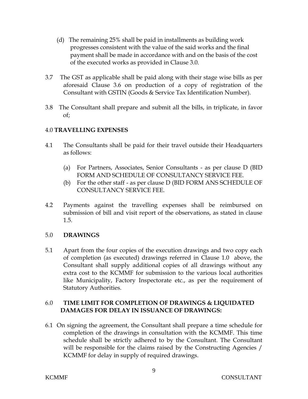- (d) The remaining 25% shall be paid in installments as building work progresses consistent with the value of the said works and the final payment shall be made in accordance with and on the basis of the cost of the executed works as provided in Clause 3.0.
- 3.7 The GST as applicable shall be paid along with their stage wise bills as per aforesaid Clause 3.6 on production of a copy of registration of the Consultant with GSTIN (Goods & Service Tax Identification Number).
- 3.8 The Consultant shall prepare and submit all the bills, in triplicate, in favor of;

## 4.0 **TRAVELLING EXPENSES**

- 4.1 The Consultants shall be paid for their travel outside their Headquarters as follows:
	- (a) For Partners, Associates, Senior Consultants as per clause D (BID FORM AND SCHEDULE OF CONSULTANCY SERVICE FEE.
	- (b) For the other staff as per clause D (BID FORM ANS SCHEDULE OF CONSULTANCY SERVICE FEE.
- 4.2 Payments against the travelling expenses shall be reimbursed on submission of bill and visit report of the observations, as stated in clause 1.5.

## 5.0 **DRAWINGS**

5.1 Apart from the four copies of the execution drawings and two copy each of completion (as executed) drawings referred in Clause 1.0 above, the Consultant shall supply additional copies of all drawings without any extra cost to the KCMMF for submission to the various local authorities like Municipality, Factory Inspectorate etc., as per the requirement of Statutory Authorities.

## 6.0 **TIME LIMIT FOR COMPLETION OF DRAWINGS & LIQUIDATED DAMAGES FOR DELAY IN ISSUANCE OF DRAWINGS:**

6.1 On signing the agreement, the Consultant shall prepare a time schedule for completion of the drawings in consultation with the KCMMF. This time schedule shall be strictly adhered to by the Consultant. The Consultant will be responsible for the claims raised by the Constructing Agencies / KCMMF for delay in supply of required drawings.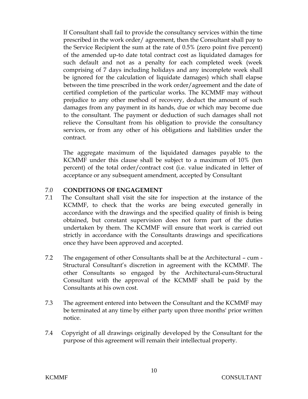If Consultant shall fail to provide the consultancy services within the time prescribed in the work order/ agreement, then the Consultant shall pay to the Service Recipient the sum at the rate of 0.5% (zero point five percent) of the amended up-to date total contract cost as liquidated damages for such default and not as a penalty for each completed week (week comprising of 7 days including holidays and any incomplete week shall be ignored for the calculation of liquidate damages) which shall elapse between the time prescribed in the work order/agreement and the date of certified completion of the particular works. The KCMMF may without prejudice to any other method of recovery, deduct the amount of such damages from any payment in its hands, due or which may become due to the consultant. The payment or deduction of such damages shall not relieve the Consultant from his obligation to provide the consultancy services, or from any other of his obligations and liabilities under the contract.

The aggregate maximum of the liquidated damages payable to the KCMMF under this clause shall be subject to a maximum of 10% (ten percent) of the total order/contract cost (i.e. value indicated in letter of acceptance or any subsequent amendment, accepted by Consultant

## 7.0 **CONDITIONS OF ENGAGEMENT**

- 7.1 The Consultant shall visit the site for inspection at the instance of the KCMMF, to check that the works are being executed generally in accordance with the drawings and the specified quality of finish is being obtained, but constant supervision does not form part of the duties undertaken by them. The KCMMF will ensure that work is carried out strictly in accordance with the Consultants drawings and specifications once they have been approved and accepted.
- 7.2 The engagement of other Consultants shall be at the Architectural cum Structural Consultant's discretion in agreement with the KCMMF. The other Consultants so engaged by the Architectural-cum-Structural Consultant with the approval of the KCMMF shall be paid by the Consultants at his own cost.
- 7.3 The agreement entered into between the Consultant and the KCMMF may be terminated at any time by either party upon three months' prior written notice.
- 7.4 Copyright of all drawings originally developed by the Consultant for the purpose of this agreement will remain their intellectual property.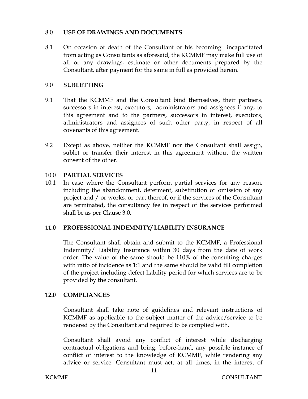#### 8.0 **USE OF DRAWINGS AND DOCUMENTS**

8.1 On occasion of death of the Consultant or his becoming incapacitated from acting as Consultants as aforesaid, the KCMMF may make full use of all or any drawings, estimate or other documents prepared by the Consultant, after payment for the same in full as provided herein.

#### 9.0 **SUBLETTING**

- 9.1 That the KCMMF and the Consultant bind themselves, their partners, successors in interest, executors, administrators and assignees if any, to this agreement and to the partners, successors in interest, executors, administrators and assignees of such other party, in respect of all covenants of this agreement.
- 9.2 Except as above, neither the KCMMF nor the Consultant shall assign, sublet or transfer their interest in this agreement without the written consent of the other.

#### 10.0 **PARTIAL SERVICES**

10.1 In case where the Consultant perform partial services for any reason, including the abandonment, deferment, substitution or omission of any project and / or works, or part thereof, or if the services of the Consultant are terminated, the consultancy fee in respect of the services performed shall be as per Clause 3.0.

## **11.0 PROFESSIONAL INDEMNITY/ LIABILITY INSURANCE**

The Consultant shall obtain and submit to the KCMMF, a Professional Indemnity/ Liability Insurance within 30 days from the date of work order. The value of the same should be 110% of the consulting charges with ratio of incidence as 1:1 and the same should be valid till completion of the project including defect liability period for which services are to be provided by the consultant.

## **12.0 COMPLIANCES**

Consultant shall take note of guidelines and relevant instructions of KCMMF as applicable to the subject matter of the advice/service to be rendered by the Consultant and required to be complied with.

Consultant shall avoid any conflict of interest while discharging contractual obligations and bring, before-hand, any possible instance of conflict of interest to the knowledge of KCMMF, while rendering any advice or service. Consultant must act, at all times, in the interest of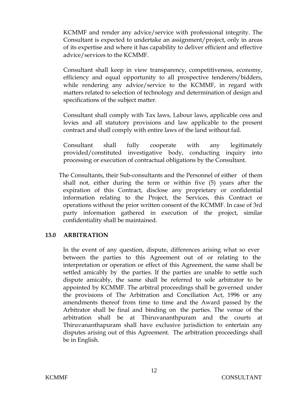KCMMF and render any advice/service with professional integrity. The Consultant is expected to undertake an assignment/project, only in areas of its expertise and where it has capability to deliver efficient and effective advice/services to the KCMMF.

Consultant shall keep in view transparency, competitiveness, economy, efficiency and equal opportunity to all prospective tenderers/bidders, while rendering any advice/service to the KCMMF, in regard with matters related to selection of technology and determination of design and specifications of the subject matter.

Consultant shall comply with Tax laws, Labour laws, applicable cess and levies and all statutory provisions and law applicable to the present contract and shall comply with entire laws of the land without fail.

Consultant shall fully cooperate with any legitimately provided/constituted investigative body, conducting inquiry into processing or execution of contractual obligations by the Consultant.

 The Consultants, their Sub-consultants and the Personnel of either of them shall not, either during the term or within five (5) years after the expiration of this Contract, disclose any proprietary or confidential information relating to the Project, the Services, this Contract or operations without the prior written consent of the KCMMF. In case of 3rd party information gathered in execution of the project, similar confidentiality shall be maintained.

## **13.0 ARBITRATION**

In the event of any question, dispute, differences arising what so ever between the parties to this Agreement out of or relating to the interpretation or operation or effect of this Agreement, the same shall be settled amicably by the parties. If the parties are unable to settle such dispute amicably, the same shall be referred to sole arbitrator to be appointed by KCMMF. The arbitral proceedings shall be governed under the provisions of The Arbitration and Conciliation Act, 1996 or any amendments thereof from time to time and the Award passed by the Arbitrator shall be final and binding on the parties. The venue of the arbitration shall be at Thiruvananthpuram and the courts at Thiruvananthapuram shall have exclusive jurisdiction to entertain any disputes arising out of this Agreement. The arbitration proceedings shall be in English.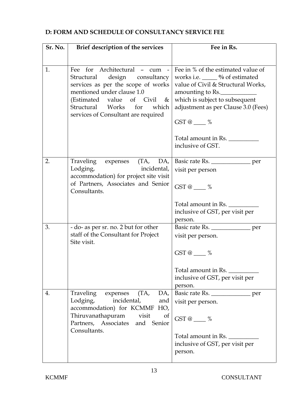## **D: FORM AND SCHEDULE OF CONSULTANCY SERVICE FEE**

| Sr. No. | Brief description of the services                                                                                                                                                                                                                              | Fee in Rs.                                                                                                                                                                                                               |
|---------|----------------------------------------------------------------------------------------------------------------------------------------------------------------------------------------------------------------------------------------------------------------|--------------------------------------------------------------------------------------------------------------------------------------------------------------------------------------------------------------------------|
|         |                                                                                                                                                                                                                                                                |                                                                                                                                                                                                                          |
| 1.      | Fee for Architectural - cum<br>$\frac{1}{2}$<br>design consultancy<br>Structural<br>services as per the scope of works<br>mentioned under clause 1.0<br>(Estimated value of Civil $\&$<br>Structural Works for<br>which<br>services of Consultant are required | Fee in % of the estimated value of<br>works i.e. _____ % of estimated<br>value of Civil & Structural Works,<br>amounting to Rs.<br>which is subject to subsequent<br>adjustment as per Clause 3.0 (Fees)<br>$GST@$ ___ % |
|         |                                                                                                                                                                                                                                                                | Total amount in Rs.<br>inclusive of GST.                                                                                                                                                                                 |
|         |                                                                                                                                                                                                                                                                |                                                                                                                                                                                                                          |
| 2.      | Traveling expenses (TA, DA,<br>Lodging,<br>incidental,                                                                                                                                                                                                         | Basic rate Rs. _______________ per                                                                                                                                                                                       |
|         | accommodation) for project site visit                                                                                                                                                                                                                          | visit per person                                                                                                                                                                                                         |
|         | of Partners, Associates and Senior<br>Consultants.                                                                                                                                                                                                             | $GST@$ %                                                                                                                                                                                                                 |
|         |                                                                                                                                                                                                                                                                | Total amount in Rs.                                                                                                                                                                                                      |
|         |                                                                                                                                                                                                                                                                | inclusive of GST, per visit per                                                                                                                                                                                          |
|         |                                                                                                                                                                                                                                                                | person.                                                                                                                                                                                                                  |
| 3.      | - do- as per sr. no. 2 but for other<br>staff of the Consultant for Project                                                                                                                                                                                    | Basic rate Rs. _______________ per<br>visit per person.                                                                                                                                                                  |
|         | Site visit.                                                                                                                                                                                                                                                    |                                                                                                                                                                                                                          |
|         |                                                                                                                                                                                                                                                                | $GST@$ $\_\_\_\%$                                                                                                                                                                                                        |
|         |                                                                                                                                                                                                                                                                | Total amount in Rs.<br>inclusive of GST, per visit per<br>person.                                                                                                                                                        |
| 4.      | (TA,<br>Traveling expenses<br>DA,                                                                                                                                                                                                                              | Basic rate Rs. _______________ per                                                                                                                                                                                       |
|         | Lodging,<br>incidental,<br>and<br>accommodation) for KCMMF HO,                                                                                                                                                                                                 | visit per person.                                                                                                                                                                                                        |
|         | Thiruvanathapuram visit<br>of<br>Partners, Associates and Senior                                                                                                                                                                                               | GST @ $\_\_\%$                                                                                                                                                                                                           |
|         | Consultants.                                                                                                                                                                                                                                                   | Total amount in Rs.<br>inclusive of GST, per visit per<br>person.                                                                                                                                                        |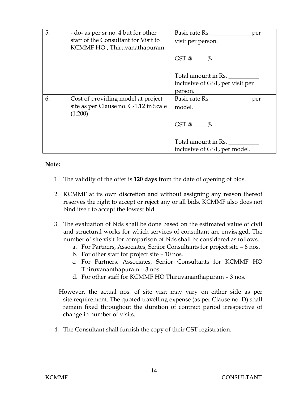| 5. | - do- as per sr no. 4 but for other<br>staff of the Consultant for Visit to<br>KCMMF HO, Thiruvanathapuram. | Basic rate Rs. _______________ per<br>visit per person. |
|----|-------------------------------------------------------------------------------------------------------------|---------------------------------------------------------|
|    |                                                                                                             | $GST@$ %                                                |
|    |                                                                                                             | Total amount in Rs.                                     |
|    |                                                                                                             | inclusive of GST, per visit per                         |
|    |                                                                                                             | person.                                                 |
| 6. | Cost of providing model at project                                                                          | Basic rate Rs. _______________ per                      |
|    | site as per Clause no. C-1.12 in Scale<br>(1:200)                                                           | model.                                                  |
|    |                                                                                                             | $GST@ \qquad \%$                                        |
|    |                                                                                                             | Total amount in Rs.<br>inclusive of GST, per model.     |

## **Note:**

- 1. The validity of the offer is **120 days** from the date of opening of bids.
- 2. KCMMF at its own discretion and without assigning any reason thereof reserves the right to accept or reject any or all bids. KCMMF also does not bind itself to accept the lowest bid.
- 3. The evaluation of bids shall be done based on the estimated value of civil and structural works for which services of consultant are envisaged. The number of site visit for comparison of bids shall be considered as follows.
	- a. For Partners, Associates, Senior Consultants for project site 6 nos.
	- b. For other staff for project site 10 nos.
	- c. For Partners, Associates, Senior Consultants for KCMMF HO Thiruvananthapuram – 3 nos.
	- d. For other staff for KCMMF HO Thiruvananthapuram 3 nos.
	- However, the actual nos. of site visit may vary on either side as per site requirement. The quoted travelling expense (as per Clause no. D) shall remain fixed throughout the duration of contract period irrespective of change in number of visits.
- 4. The Consultant shall furnish the copy of their GST registration.